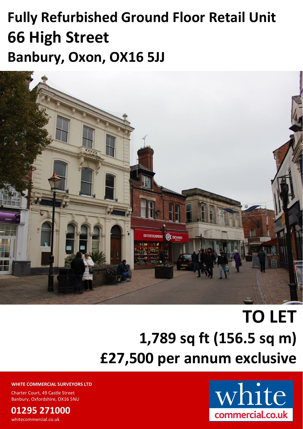# **Fully Refurbished Ground Floor Retail Unit 66 High Street Banbury, Oxon, OX16 5JJ**



# **TO LET 1,789 sq ft (156.5 sq m) £27,500 per annum exclusive**

**WHITE COMMERCIAL SURVEYORS LTD** 

Charter Court, 49 Castle Street Banbury, Oxfordshire, OX16 5NU

**01295 271000**